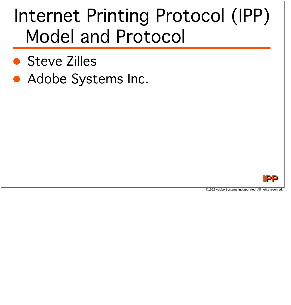### Internet Printing Protocol (IPP) Model and Protocol

- Steve Zilles
- Adobe Systems Inc.

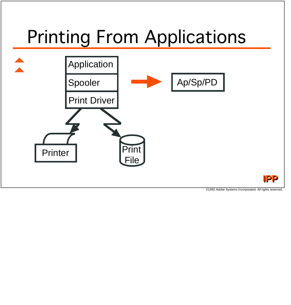### Printing From Applications



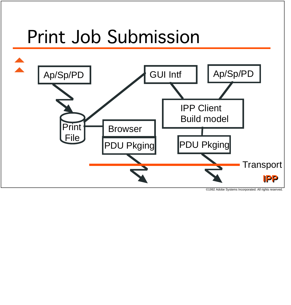

©1992 Adobe Systems Incorporated. All rights reserved.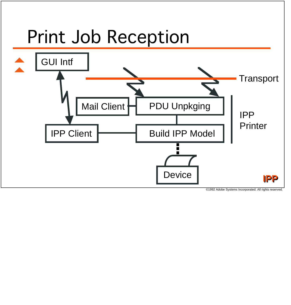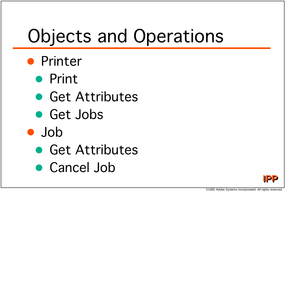# Objects and Operations

- Printer
	- Print
	- Get Attributes
	- Get Jobs
- Job
	- Get Attributes
	- Cancel Job

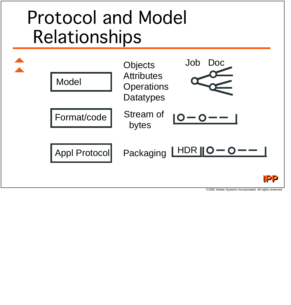### Protocol and Model **Relationships**

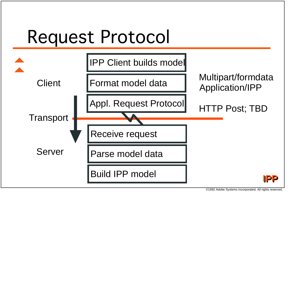### Request Protocol

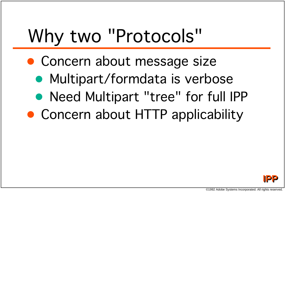# Why two "Protocols"

- Concern about message size
	- Multipart/formdata is verbose
	- Need Multipart "tree" for full IPP
- Concern about HTTP applicability

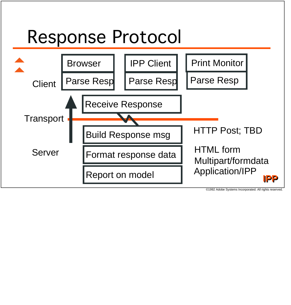#### Response Protocol

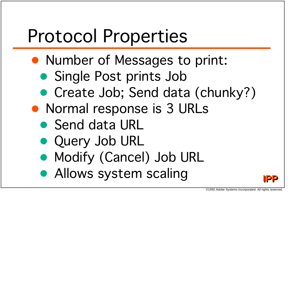## Protocol Properties

- Number of Messages to print:
	- Single Post prints Job
	- Create Job; Send data (chunky?)
- Normal response is 3 URLs
	- Send data URL
	- Query Job URL
	- Modify (Cancel) Job URL
	- Allows system scaling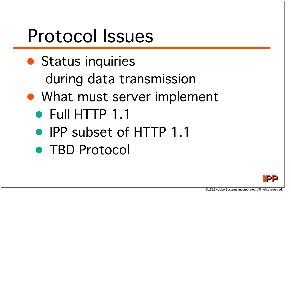### Protocol Issues

- Status inquiries during data transmission
- What must server implement
	- Full HTTP 1.1
	- IPP subset of HTTP 1.1
	- TBD Protocol

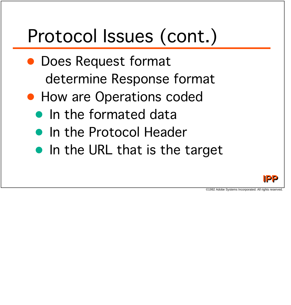# Protocol Issues (cont.)

- Does Request format determine Response format
- How are Operations coded
	- In the formated data
	- In the Protocol Header
	- In the URL that is the target